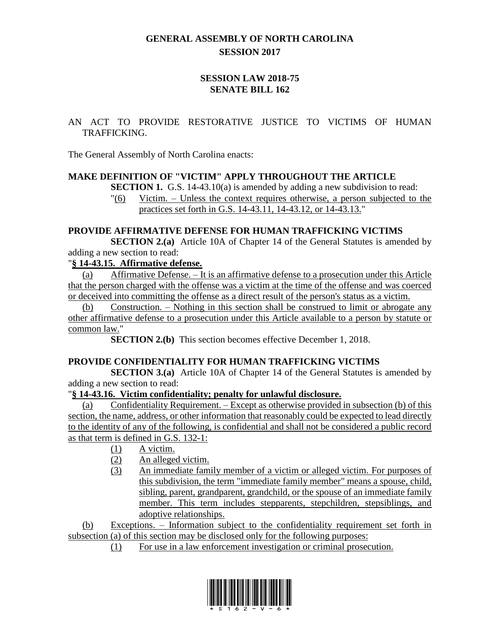# **GENERAL ASSEMBLY OF NORTH CAROLINA SESSION 2017**

### **SESSION LAW 2018-75 SENATE BILL 162**

### AN ACT TO PROVIDE RESTORATIVE JUSTICE TO VICTIMS OF HUMAN TRAFFICKING.

The General Assembly of North Carolina enacts:

#### **MAKE DEFINITION OF "VICTIM" APPLY THROUGHOUT THE ARTICLE**

**SECTION 1.** G.S. 14-43.10(a) is amended by adding a new subdivision to read:

"(6) Victim. – Unless the context requires otherwise, a person subjected to the practices set forth in G.S. 14-43.11, 14-43.12, or 14-43.13."

### **PROVIDE AFFIRMATIVE DEFENSE FOR HUMAN TRAFFICKING VICTIMS**

**SECTION 2.(a)** Article 10A of Chapter 14 of the General Statutes is amended by adding a new section to read:

#### "**§ 14-43.15. Affirmative defense.**

(a) Affirmative Defense. – It is an affirmative defense to a prosecution under this Article that the person charged with the offense was a victim at the time of the offense and was coerced or deceived into committing the offense as a direct result of the person's status as a victim.

(b) Construction. – Nothing in this section shall be construed to limit or abrogate any other affirmative defense to a prosecution under this Article available to a person by statute or common law."

**SECTION 2.(b)** This section becomes effective December 1, 2018.

### **PROVIDE CONFIDENTIALITY FOR HUMAN TRAFFICKING VICTIMS**

**SECTION 3.(a)** Article 10A of Chapter 14 of the General Statutes is amended by adding a new section to read:

### "**§ 14-43.16. Victim confidentiality; penalty for unlawful disclosure.**

(a) Confidentiality Requirement. – Except as otherwise provided in subsection (b) of this section, the name, address, or other information that reasonably could be expected to lead directly to the identity of any of the following, is confidential and shall not be considered a public record as that term is defined in G.S. 132-1:

- (1) A victim.
- (2) An alleged victim.
- (3) An immediate family member of a victim or alleged victim. For purposes of this subdivision, the term "immediate family member" means a spouse, child, sibling, parent, grandparent, grandchild, or the spouse of an immediate family member. This term includes stepparents, stepchildren, stepsiblings, and adoptive relationships.

(b) Exceptions. – Information subject to the confidentiality requirement set forth in subsection (a) of this section may be disclosed only for the following purposes:

(1) For use in a law enforcement investigation or criminal prosecution.

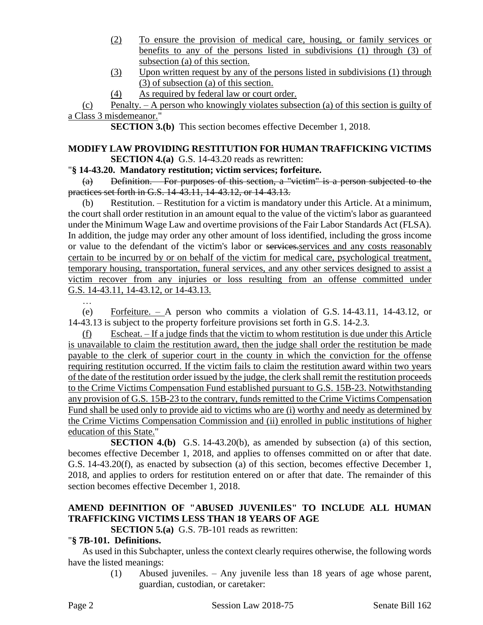- (2) To ensure the provision of medical care, housing, or family services or benefits to any of the persons listed in subdivisions (1) through (3) of subsection (a) of this section.
- (3) Upon written request by any of the persons listed in subdivisions (1) through (3) of subsection (a) of this section.
- (4) As required by federal law or court order.

(c) Penalty. – A person who knowingly violates subsection (a) of this section is guilty of a Class 3 misdemeanor."

**SECTION 3.(b)** This section becomes effective December 1, 2018.

### **MODIFY LAW PROVIDING RESTITUTION FOR HUMAN TRAFFICKING VICTIMS SECTION 4.(a)** G.S. 14-43.20 reads as rewritten:

"**§ 14-43.20. Mandatory restitution; victim services; forfeiture.**

(a) Definition. – For purposes of this section, a "victim" is a person subjected to the practices set forth in G.S. 14-43.11, 14-43.12, or 14-43.13.

(b) Restitution. – Restitution for a victim is mandatory under this Article. At a minimum, the court shall order restitution in an amount equal to the value of the victim's labor as guaranteed under the Minimum Wage Law and overtime provisions of the Fair Labor Standards Act (FLSA). In addition, the judge may order any other amount of loss identified, including the gross income or value to the defendant of the victim's labor or services.services and any costs reasonably certain to be incurred by or on behalf of the victim for medical care, psychological treatment, temporary housing, transportation, funeral services, and any other services designed to assist a victim recover from any injuries or loss resulting from an offense committed under G.S. 14-43.11, 14-43.12, or 14-43.13.

(e) Forfeiture. – A person who commits a violation of G.S. 14-43.11, 14-43.12, or 14-43.13 is subject to the property forfeiture provisions set forth in G.S. 14-2.3.

(f) Escheat. – If a judge finds that the victim to whom restitution is due under this Article is unavailable to claim the restitution award, then the judge shall order the restitution be made payable to the clerk of superior court in the county in which the conviction for the offense requiring restitution occurred. If the victim fails to claim the restitution award within two years of the date of the restitution order issued by the judge, the clerk shall remit the restitution proceeds to the Crime Victims Compensation Fund established pursuant to G.S. 15B-23. Notwithstanding any provision of G.S. 15B-23 to the contrary, funds remitted to the Crime Victims Compensation Fund shall be used only to provide aid to victims who are (i) worthy and needy as determined by the Crime Victims Compensation Commission and (ii) enrolled in public institutions of higher education of this State."

**SECTION 4.(b)** G.S. 14-43.20(b), as amended by subsection (a) of this section, becomes effective December 1, 2018, and applies to offenses committed on or after that date. G.S. 14-43.20(f), as enacted by subsection (a) of this section, becomes effective December 1, 2018, and applies to orders for restitution entered on or after that date. The remainder of this section becomes effective December 1, 2018.

# **AMEND DEFINITION OF "ABUSED JUVENILES" TO INCLUDE ALL HUMAN TRAFFICKING VICTIMS LESS THAN 18 YEARS OF AGE**

**SECTION 5.(a)** G.S. 7B-101 reads as rewritten:

### "**§ 7B-101. Definitions.**

As used in this Subchapter, unless the context clearly requires otherwise, the following words have the listed meanings:

> (1) Abused juveniles. – Any juvenile less than 18 years of age whose parent, guardian, custodian, or caretaker: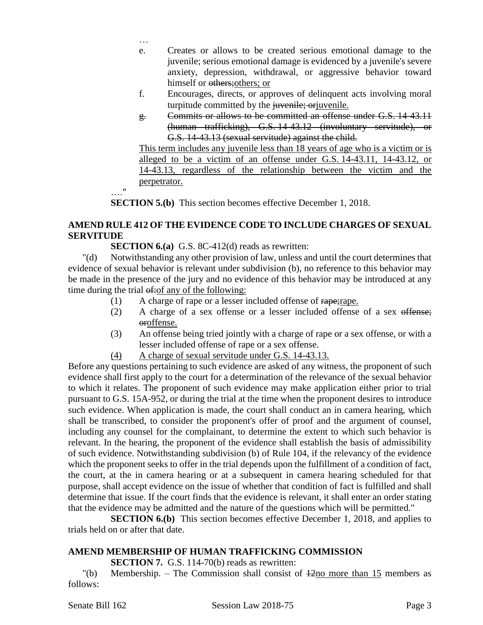- … e. Creates or allows to be created serious emotional damage to the juvenile; serious emotional damage is evidenced by a juvenile's severe anxiety, depression, withdrawal, or aggressive behavior toward himself or others; others; or
- f. Encourages, directs, or approves of delinquent acts involving moral turpitude committed by the *juvenile*; or juvenile.
- g. Commits or allows to be committed an offense under G.S. 14-43.11 (human trafficking), G.S. 14-43.12 (involuntary servitude), or G.S. 14-43.13 (sexual servitude) against the child.

This term includes any juvenile less than 18 years of age who is a victim or is alleged to be a victim of an offense under G.S. 14-43.11, 14-43.12, or 14-43.13, regardless of the relationship between the victim and the perpetrator.

…." **SECTION 5.(b)** This section becomes effective December 1, 2018.

# **AMEND RULE 412 OF THE EVIDENCE CODE TO INCLUDE CHARGES OF SEXUAL SERVITUDE**

**SECTION 6.(a)** G.S. 8C-412(d) reads as rewritten:

"(d) Notwithstanding any other provision of law, unless and until the court determines that evidence of sexual behavior is relevant under subdivision (b), no reference to this behavior may be made in the presence of the jury and no evidence of this behavior may be introduced at any time during the trial  $\theta$ : of any of the following:

- (1) A charge of rape or a lesser included offense of rape;rape.
- (2) A charge of a sex offense or a lesser included offense of a sex offense; oroffense.
- (3) An offense being tried jointly with a charge of rape or a sex offense, or with a lesser included offense of rape or a sex offense.
- (4) A charge of sexual servitude under G.S. 14-43.13.

Before any questions pertaining to such evidence are asked of any witness, the proponent of such evidence shall first apply to the court for a determination of the relevance of the sexual behavior to which it relates. The proponent of such evidence may make application either prior to trial pursuant to G.S. 15A-952, or during the trial at the time when the proponent desires to introduce such evidence. When application is made, the court shall conduct an in camera hearing, which shall be transcribed, to consider the proponent's offer of proof and the argument of counsel, including any counsel for the complainant, to determine the extent to which such behavior is relevant. In the hearing, the proponent of the evidence shall establish the basis of admissibility of such evidence. Notwithstanding subdivision (b) of Rule 104, if the relevancy of the evidence which the proponent seeks to offer in the trial depends upon the fulfillment of a condition of fact, the court, at the in camera hearing or at a subsequent in camera hearing scheduled for that purpose, shall accept evidence on the issue of whether that condition of fact is fulfilled and shall determine that issue. If the court finds that the evidence is relevant, it shall enter an order stating that the evidence may be admitted and the nature of the questions which will be permitted."

**SECTION 6.(b)** This section becomes effective December 1, 2018, and applies to trials held on or after that date.

### **AMEND MEMBERSHIP OF HUMAN TRAFFICKING COMMISSION**

**SECTION 7.** G.S. 114-70(b) reads as rewritten:

"(b) Membership. – The Commission shall consist of 12no more than 15 members as follows: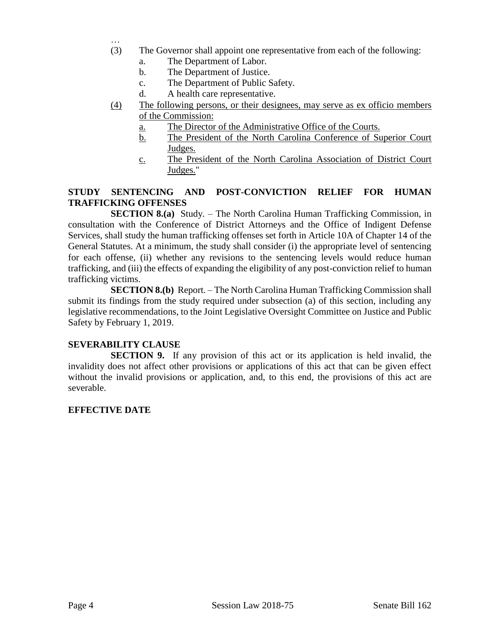- … (3) The Governor shall appoint one representative from each of the following:
	- a. The Department of Labor.
	- b. The Department of Justice.
	- c. The Department of Public Safety.
	- d. A health care representative.
- (4) The following persons, or their designees, may serve as ex officio members of the Commission:
	- a. The Director of the Administrative Office of the Courts.
	- b. The President of the North Carolina Conference of Superior Court Judges.
	- c. The President of the North Carolina Association of District Court Judges."

# **STUDY SENTENCING AND POST-CONVICTION RELIEF FOR HUMAN TRAFFICKING OFFENSES**

**SECTION 8.(a)** Study. – The North Carolina Human Trafficking Commission, in consultation with the Conference of District Attorneys and the Office of Indigent Defense Services, shall study the human trafficking offenses set forth in Article 10A of Chapter 14 of the General Statutes. At a minimum, the study shall consider (i) the appropriate level of sentencing for each offense, (ii) whether any revisions to the sentencing levels would reduce human trafficking, and (iii) the effects of expanding the eligibility of any post-conviction relief to human trafficking victims.

**SECTION 8.(b)** Report. – The North Carolina Human Trafficking Commission shall submit its findings from the study required under subsection (a) of this section, including any legislative recommendations, to the Joint Legislative Oversight Committee on Justice and Public Safety by February 1, 2019.

### **SEVERABILITY CLAUSE**

**SECTION 9.** If any provision of this act or its application is held invalid, the invalidity does not affect other provisions or applications of this act that can be given effect without the invalid provisions or application, and, to this end, the provisions of this act are severable.

### **EFFECTIVE DATE**